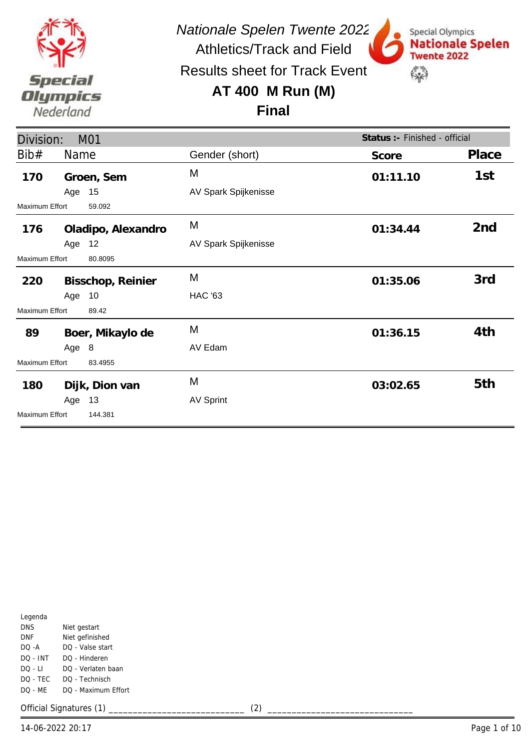

Results sheet for Track Event

# **AT 400 M Run (M)**



**Final**

| Division:             |        | M01                |                      | Status :- Finished - official |                 |
|-----------------------|--------|--------------------|----------------------|-------------------------------|-----------------|
| Bib#                  | Name   |                    | Gender (short)       | Score                         | Place           |
| 170                   |        | Groen, Sem         | M                    | 01:11.10                      | 1st             |
|                       | Age 15 |                    | AV Spark Spijkenisse |                               |                 |
| Maximum Effort        |        | 59.092             |                      |                               |                 |
| 176                   |        | Oladipo, Alexandro | M                    | 01:34.44                      | 2 <sub>nd</sub> |
|                       | Age 12 |                    | AV Spark Spijkenisse |                               |                 |
| <b>Maximum Effort</b> |        | 80.8095            |                      |                               |                 |
| 220                   |        | Bisschop, Reinier  | M                    | 01:35.06                      | 3rd             |
|                       | Age 10 |                    | <b>HAC '63</b>       |                               |                 |
| <b>Maximum Effort</b> |        | 89.42              |                      |                               |                 |
| 89                    |        | Boer, Mikaylo de   | M                    | 01:36.15                      | 4th             |
|                       | Age 8  |                    | AV Edam              |                               |                 |
| Maximum Effort        |        | 83.4955            |                      |                               |                 |
| 180                   |        | Dijk, Dion van     | M                    | 03:02.65                      | 5th             |
|                       | Age    | 13                 | <b>AV Sprint</b>     |                               |                 |
| <b>Maximum Effort</b> |        | 144.381            |                      |                               |                 |

| Legenda  |                     |
|----------|---------------------|
| DNS      | Niet gestart        |
| DNF      | Niet gefinished     |
| $DO - A$ | DO - Valse start    |
| DO - INT | DO - Hinderen       |
| DO - LI  | DO - Verlaten baan  |
| DQ - TEC | DO - Technisch      |
| DO - MF  | DO - Maximum Effort |
|          |                     |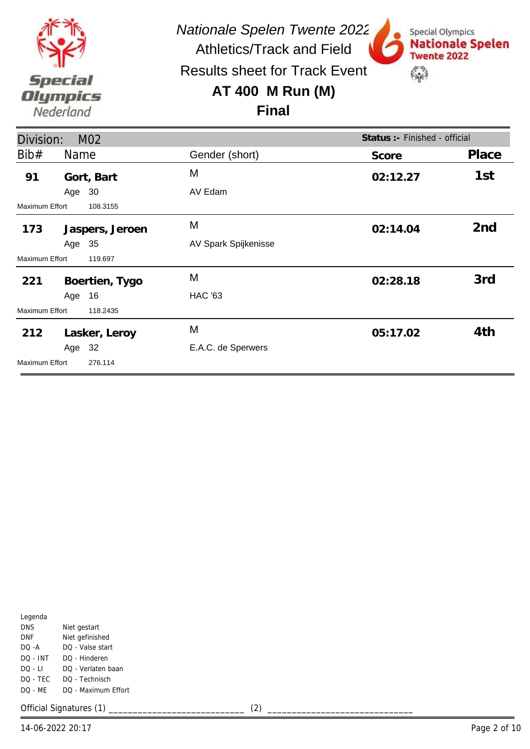

Results sheet for Track Event

## **AT 400 M Run (M)**



Special Olympics

**Twente 2022** 

 $\mathbb{S}^n$ 

**Nationale Spelen** 

**Final**

| Division:             |        | M <sub>02</sub> |                      | Status : - Finished - official |                 |
|-----------------------|--------|-----------------|----------------------|--------------------------------|-----------------|
| Bib#                  | Name   |                 | Gender (short)       | Score                          | Place           |
| 91                    |        | Gort, Bart      | M                    | 02:12.27                       | 1st             |
|                       | Age 30 |                 | AV Edam              |                                |                 |
| Maximum Effort        |        | 108.3155        |                      |                                |                 |
| 173                   |        | Jaspers, Jeroen | M                    | 02:14.04                       | 2 <sub>nd</sub> |
|                       | Age 35 |                 | AV Spark Spijkenisse |                                |                 |
| Maximum Effort        |        | 119.697         |                      |                                |                 |
| 221                   |        | Boertien, Tygo  | M                    | 02:28.18                       | 3rd             |
|                       | Age 16 |                 | <b>HAC '63</b>       |                                |                 |
| Maximum Effort        |        | 118.2435        |                      |                                |                 |
| 212                   |        | Lasker, Leroy   | M                    | 05:17.02                       | 4th             |
|                       | Age 32 |                 | E.A.C. de Sperwers   |                                |                 |
| <b>Maximum Effort</b> |        | 276.114         |                      |                                |                 |

| Legenda   |                     |
|-----------|---------------------|
| DNS       | Niet gestart        |
| DNF       | Niet gefinished     |
| $DO - A$  | DO - Valse start    |
| DO - INT  | DO - Hinderen       |
| DO - LI   | DO - Verlaten baan  |
| DQ - TEC  | DO - Technisch      |
| $DO - MF$ | DO - Maximum Effort |
|           |                     |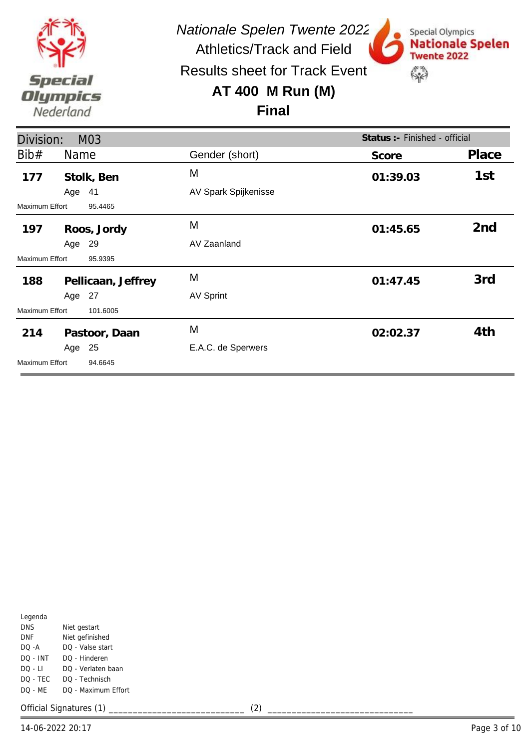

Special Olympics

**Twente 2022** 

 $\mathbb{S}^n$ 

**Nationale Spelen** 

Results sheet for Track Event

#### **AT 400 M Run (M)**

#### **Final**

| Division:      |        | M03                |                      | Status :- Finished - official |                 |
|----------------|--------|--------------------|----------------------|-------------------------------|-----------------|
| Bib#           | Name   |                    | Gender (short)       | Score                         | Place           |
| 177            |        | Stolk, Ben         | M                    | 01:39.03                      | 1st             |
|                | Age 41 |                    | AV Spark Spijkenisse |                               |                 |
| Maximum Effort |        | 95.4465            |                      |                               |                 |
| 197            |        | Roos, Jordy        | M                    | 01:45.65                      | 2 <sub>nd</sub> |
|                | Age 29 |                    | AV Zaanland          |                               |                 |
| Maximum Effort |        | 95.9395            |                      |                               |                 |
| 188            |        | Pellicaan, Jeffrey | M                    | 01:47.45                      | 3rd             |
|                | Age 27 |                    | <b>AV Sprint</b>     |                               |                 |
| Maximum Effort |        | 101.6005           |                      |                               |                 |
| 214            |        | Pastoor, Daan      | M                    | 02:02.37                      | 4th             |
|                | Age 25 |                    | E.A.C. de Sperwers   |                               |                 |
| Maximum Effort |        | 94.6645            |                      |                               |                 |

| Legenda  |                     |
|----------|---------------------|
| DNS      | Niet gestart        |
| DNF      | Niet gefinished     |
| DO -A    | DO - Valse start    |
| DO - INT | DO - Hinderen       |
| DO - LI  | DO - Verlaten baan  |
| DO - TEC | DO - Technisch      |
| DO - ME  | DO - Maximum Effort |
|          |                     |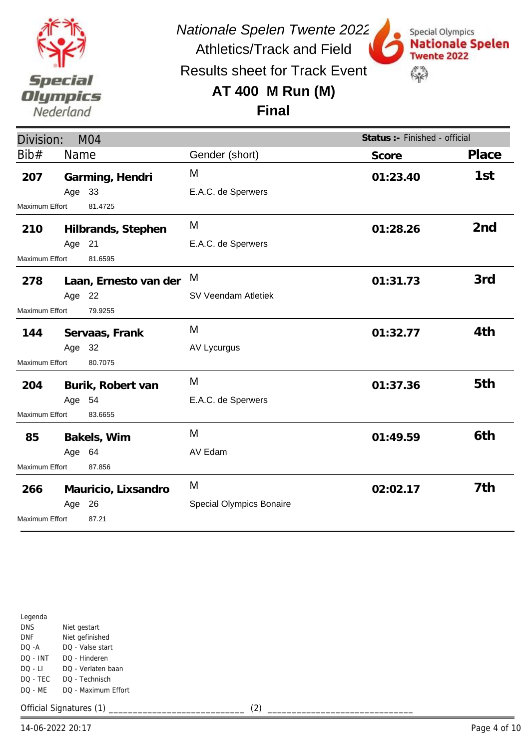

Results sheet for Track Event

## **AT 400 M Run (M)**



## **Final**

| Division:                 |        | M <sub>04</sub>       |                                 | Status :- Finished - official |                 |
|---------------------------|--------|-----------------------|---------------------------------|-------------------------------|-----------------|
| Bib#                      | Name   |                       | Gender (short)                  | Score                         | Place           |
| 207                       |        | Garming, Hendri       | M                               | 01:23.40                      | 1st             |
|                           | Age 33 |                       | E.A.C. de Sperwers              |                               |                 |
| Maximum Effort            |        | 81.4725               |                                 |                               |                 |
| 210                       |        | Hilbrands, Stephen    | M                               | 01:28.26                      | 2 <sub>nd</sub> |
|                           | Age 21 |                       | E.A.C. de Sperwers              |                               |                 |
| Maximum Effort            |        | 81.6595               |                                 |                               |                 |
| 278                       |        | Laan, Ernesto van der | M                               | 01:31.73                      | 3rd             |
|                           | Age 22 |                       | SV Veendam Atletiek             |                               |                 |
| Maximum Effort<br>79.9255 |        |                       |                                 |                               |                 |
| 144                       |        | Servaas, Frank        | M                               | 01:32.77                      | 4th             |
|                           | Age 32 |                       | AV Lycurgus                     |                               |                 |
| Maximum Effort            |        | 80.7075               |                                 |                               |                 |
| 204                       |        | Burik, Robert van     | M                               | 01:37.36                      | 5th             |
|                           | Age 54 |                       | E.A.C. de Sperwers              |                               |                 |
| Maximum Effort            |        | 83.6655               |                                 |                               |                 |
| 85                        |        | Bakels, Wim           | M                               | 01:49.59                      | 6th             |
|                           | Age 64 |                       | AV Edam                         |                               |                 |
| Maximum Effort            |        | 87.856                |                                 |                               |                 |
| 266                       |        | Mauricio, Lixsandro   | M                               | 02:02.17                      | 7th             |
|                           | Age 26 |                       | <b>Special Olympics Bonaire</b> |                               |                 |
| <b>Maximum Effort</b>     |        | 87.21                 |                                 |                               |                 |

|            | 14-06-2022 20:17        |     | Page 4 of 10 |
|------------|-------------------------|-----|--------------|
|            | Official Signatures (1) | (2) |              |
| DQ - ME    | DQ - Maximum Effort     |     |              |
| DQ - TEC   | DQ - Technisch          |     |              |
| DQ - LI    | DQ - Verlaten baan      |     |              |
| DQ - INT   | DQ - Hinderen           |     |              |
| DQ -A      | DQ - Valse start        |     |              |
| <b>DNF</b> | Niet gefinished         |     |              |
| <b>DNS</b> | Niet gestart            |     |              |
| Legenda    |                         |     |              |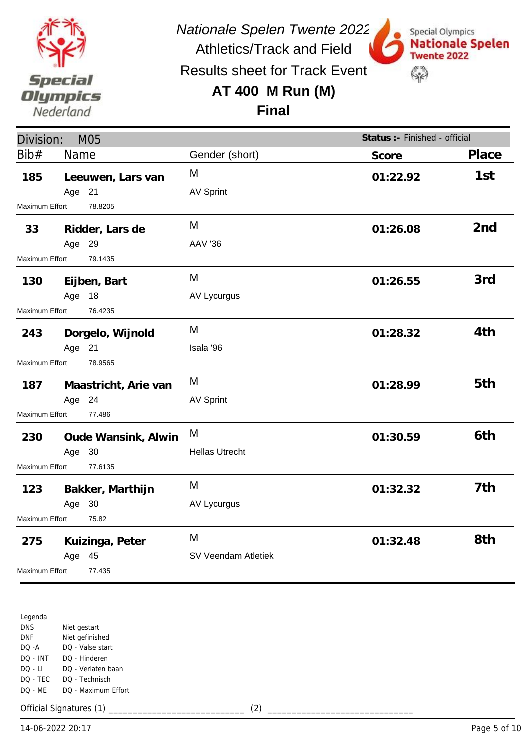

*Nationale Spelen Twente 2022*

Special Olympics

**Twente 2022** 

 $\mathbb{S}^n$ 

**Nationale Spelen** 

Athletics/Track and Field Results sheet for Track Event

#### **AT 400 M Run (M)**



| Division:               | M05    |                      |                       | Status :- Finished - official |                 |
|-------------------------|--------|----------------------|-----------------------|-------------------------------|-----------------|
| Bib#                    | Name   |                      | Gender (short)        | Score                         | Place           |
| 185                     |        | Leeuwen, Lars van    | M                     | 01:22.92                      | 1st             |
|                         | Age 21 |                      | <b>AV Sprint</b>      |                               |                 |
| Maximum Effort          |        | 78.8205              |                       |                               |                 |
| 33                      |        | Ridder, Lars de      | M                     | 01:26.08                      | 2 <sub>nd</sub> |
|                         | Age 29 |                      | <b>AAV '36</b>        |                               |                 |
| Maximum Effort          |        | 79.1435              |                       |                               |                 |
| 130                     |        | Eijben, Bart         | M                     | 01:26.55                      | 3rd             |
|                         | Age 18 |                      | AV Lycurgus           |                               |                 |
| Maximum Effort          |        | 76.4235              |                       |                               |                 |
| 243                     |        | Dorgelo, Wijnold     | M                     | 01:28.32                      | 4th             |
|                         | Age 21 |                      | Isala '96             |                               |                 |
| <b>Maximum Effort</b>   |        | 78.9565              |                       |                               |                 |
| 187                     |        | Maastricht, Arie van | M                     | 01:28.99                      | 5th             |
|                         | Age 24 |                      | <b>AV Sprint</b>      |                               |                 |
| Maximum Effort          |        | 77.486               |                       |                               |                 |
| 230                     |        | Oude Wansink, Alwin  | M                     | 01:30.59                      | 6th             |
|                         | Age 30 |                      | <b>Hellas Utrecht</b> |                               |                 |
| Maximum Effort          |        | 77.6135              |                       |                               |                 |
| 123                     |        | Bakker, Marthijn     | M                     | 01:32.32                      | 7th             |
|                         | Age 30 |                      | AV Lycurgus           |                               |                 |
| 75.82<br>Maximum Effort |        |                      |                       |                               |                 |
| 275                     |        | Kuizinga, Peter      | M                     | 01:32.48                      | 8th             |
|                         | Age 45 |                      | SV Veendam Atletiek   |                               |                 |
| <b>Maximum Effort</b>   |        | 77.435               |                       |                               |                 |

Legenda DNS DNF DQ -A DQ - INT DQ - LI DQ - TEC DQ - ME Niet gestart Niet gefinished DQ - Valse start DQ - Hinderen DQ - Verlaten baan DQ - Technisch DQ - Maximum Effort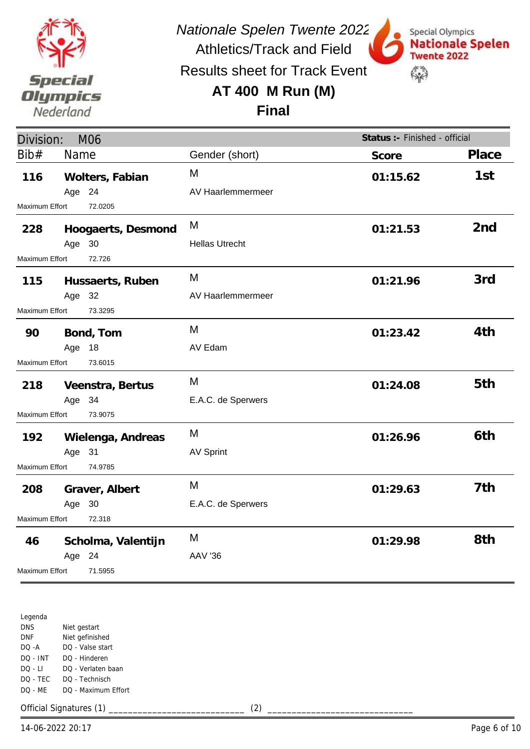

*Nationale Spelen Twente 2022*

Results sheet for Track Event

Athletics/Track and Field

## **AT 400 M Run (M)**



**Final**

| Division:                |        | <b>M06</b>         |                       | Status :- Finished - official |                 |
|--------------------------|--------|--------------------|-----------------------|-------------------------------|-----------------|
| Bib#                     | Name   |                    | Gender (short)        | Score                         | Place           |
| 116                      |        | Wolters, Fabian    | M                     | 01:15.62                      | 1st             |
|                          | Age 24 |                    | AV Haarlemmermeer     |                               |                 |
| Maximum Effort           |        | 72.0205            |                       |                               |                 |
| 228                      |        | Hoogaerts, Desmond | M                     | 01:21.53                      | 2 <sub>nd</sub> |
|                          | Age 30 |                    | <b>Hellas Utrecht</b> |                               |                 |
| Maximum Effort           |        | 72.726             |                       |                               |                 |
| 115                      |        | Hussaerts, Ruben   | M                     | 01:21.96                      | 3rd             |
|                          | Age 32 |                    | AV Haarlemmermeer     |                               |                 |
| Maximum Effort           |        | 73.3295            |                       |                               |                 |
| 90                       |        | Bond, Tom          | M                     | 01:23.42                      | 4th             |
|                          | Age 18 |                    | AV Edam               |                               |                 |
| Maximum Effort           |        | 73.6015            |                       |                               |                 |
| 218                      |        | Veenstra, Bertus   | M                     | 01:24.08                      | 5th             |
|                          | Age 34 |                    | E.A.C. de Sperwers    |                               |                 |
| Maximum Effort           |        | 73.9075            |                       |                               |                 |
| 192                      |        | Wielenga, Andreas  | M                     | 01:26.96                      | 6th             |
|                          | Age 31 |                    | <b>AV Sprint</b>      |                               |                 |
| Maximum Effort           |        | 74.9785            |                       |                               |                 |
| 208                      |        | Graver, Albert     | M                     | 01:29.63                      | 7th             |
|                          | Age 30 |                    | E.A.C. de Sperwers    |                               |                 |
| 72.318<br>Maximum Effort |        |                    |                       |                               |                 |
| 46                       |        | Scholma, Valentijn | M                     | 01:29.98                      | 8th             |
|                          | Age 24 |                    | <b>AAV '36</b>        |                               |                 |
| Maximum Effort           |        | 71.5955            |                       |                               |                 |

Legenda DNS DNF DQ -A DQ - INT DQ - LI DQ - TEC DQ - ME Niet gestart Niet gefinished DQ - Valse start DQ - Hinderen DQ - Verlaten baan DQ - Technisch DQ - Maximum Effort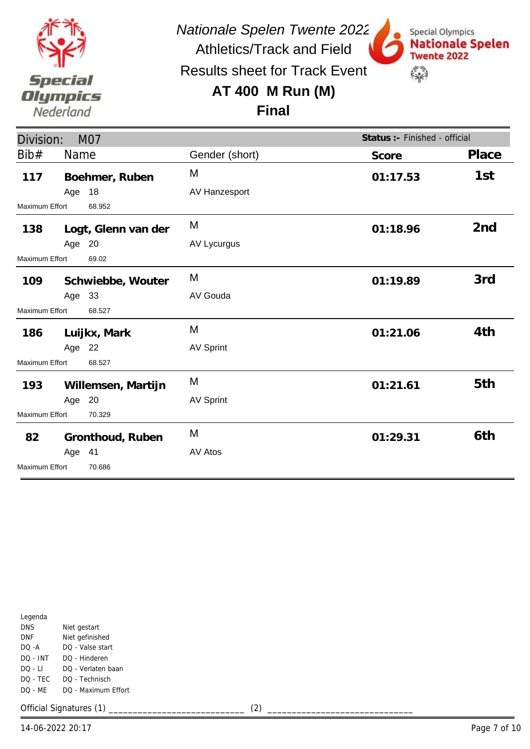

Special Olympics

**Twente 2022** 

 $\mathbb{S}^n$ 

**Nationale Spelen** 

Results sheet for Track Event

#### **AT 400 M Run (M)**

**Final**

| Division:                |        | <b>M07</b>          |                  | Status :- Finished - official |                 |
|--------------------------|--------|---------------------|------------------|-------------------------------|-----------------|
| Bib#                     | Name   |                     | Gender (short)   | Score                         | Place           |
| 117                      |        | Boehmer, Ruben      | M                | 01:17.53                      | 1st             |
|                          | Age 18 |                     | AV Hanzesport    |                               |                 |
| Maximum Effort           |        | 68.952              |                  |                               |                 |
| 138                      |        | Logt, Glenn van der | M                | 01:18.96                      | 2 <sub>nd</sub> |
|                          | Age 20 |                     | AV Lycurgus      |                               |                 |
| Maximum Effort           |        | 69.02               |                  |                               |                 |
| 109                      |        | Schwiebbe, Wouter   | M                | 01:19.89                      | 3rd             |
|                          | Age 33 |                     | AV Gouda         |                               |                 |
| Maximum Effort           |        | 68.527              |                  |                               |                 |
| 186                      |        | Luijkx, Mark        | M                | 01:21.06                      | 4th             |
|                          | Age 22 |                     | <b>AV Sprint</b> |                               |                 |
| Maximum Effort           |        | 68.527              |                  |                               |                 |
| 193                      |        | Willemsen, Martijn  | M                | 01:21.61                      | 5th             |
|                          | Age 20 |                     | <b>AV Sprint</b> |                               |                 |
| Maximum Effort<br>70.329 |        |                     |                  |                               |                 |
| 82                       |        | Gronthoud, Ruben    | M                | 01:29.31                      | 6th             |
|                          | Age 41 |                     | AV Atos          |                               |                 |
| <b>Maximum Effort</b>    |        | 70.686              |                  |                               |                 |

| Legenda    |                     |
|------------|---------------------|
| <b>DNS</b> | Niet gestart        |
| DNF        | Niet gefinished     |
| DO -A      | DO - Valse start    |
| DO - INT   | DO - Hinderen       |
| DO - LI    | DO - Verlaten baan  |
| DO - TEC   | DO - Technisch      |
| DO - MF    | DO - Maximum Effort |
|            |                     |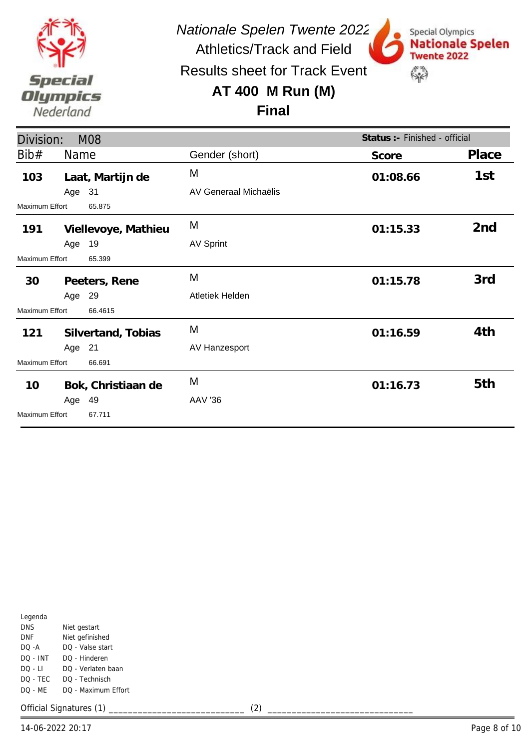

Results sheet for Track Event

## **AT 400 M Run (M)**



**Final**

| Division:                       |                    | <b>M08</b>          |                       | Status : - Finished - official |                 |
|---------------------------------|--------------------|---------------------|-----------------------|--------------------------------|-----------------|
| Bib#                            | Name               |                     | Gender (short)        | Score                          | Place           |
| 103                             |                    | Laat, Martijn de    | M                     | 01:08.66                       | 1st             |
|                                 | Age 31             |                     | AV Generaal Michaëlis |                                |                 |
| <b>Maximum Effort</b>           |                    | 65.875              |                       |                                |                 |
| 191                             |                    | Viellevoye, Mathieu | M                     | 01:15.33                       | 2 <sub>nd</sub> |
|                                 | Age 19             |                     | <b>AV Sprint</b>      |                                |                 |
| <b>Maximum Effort</b>           |                    | 65.399              |                       |                                |                 |
| 30                              |                    | Peeters, Rene       | M                     | 01:15.78                       | 3rd             |
|                                 | Age 29             |                     | Atletiek Helden       |                                |                 |
| <b>Maximum Effort</b>           |                    | 66.4615             |                       |                                |                 |
| 121                             | Silvertand, Tobias |                     | M                     | 01:16.59                       | 4th             |
|                                 | Age 21             |                     | AV Hanzesport         |                                |                 |
| <b>Maximum Effort</b><br>66.691 |                    |                     |                       |                                |                 |
| 10                              |                    | Bok, Christiaan de  | M                     | 01:16.73                       | 5th             |
|                                 | Age 49             |                     | <b>AAV '36</b>        |                                |                 |
| Maximum Effort                  |                    | 67.711              |                       |                                |                 |

| Legenda   |                     |
|-----------|---------------------|
| DNS       | Niet gestart        |
| DNF       | Niet gefinished     |
| $DO - A$  | DO - Valse start    |
| DO - INT  | DO - Hinderen       |
| DO - LI   | DO - Verlaten baan  |
| DO - TEC  | DO - Technisch      |
| $DO - MF$ | DO - Maximum Effort |
|           |                     |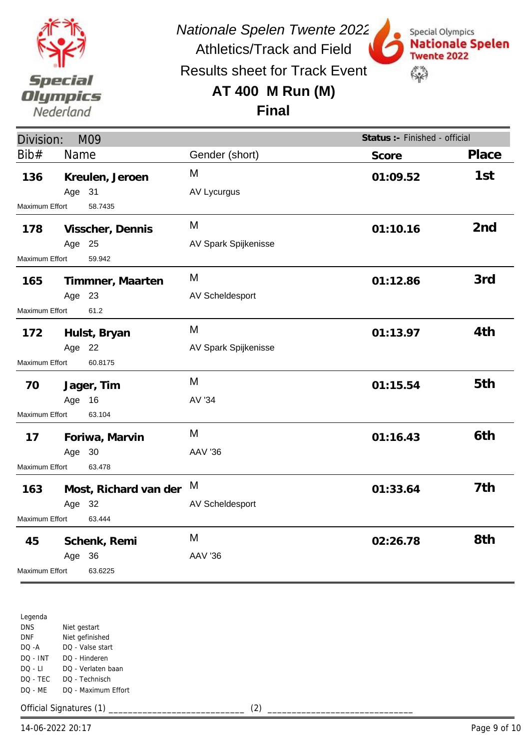

*Nationale Spelen Twente 2022*

Athletics/Track and Field Results sheet for Track Event

## **AT 400 M Run (M)**



**Final**

| Division:                        |              | M09                   |                      | Status :- Finished - official |                 |
|----------------------------------|--------------|-----------------------|----------------------|-------------------------------|-----------------|
| Bib#                             | Name         |                       | Gender (short)       | Score                         | Place           |
| 136                              |              | Kreulen, Jeroen       | M                    | 01:09.52                      | 1st             |
|                                  | Age 31       |                       | AV Lycurgus          |                               |                 |
| Maximum Effort                   |              | 58.7435               |                      |                               |                 |
| 178                              |              | Visscher, Dennis      | M                    | 01:10.16                      | 2 <sub>nd</sub> |
|                                  | Age 25       |                       | AV Spark Spijkenisse |                               |                 |
| 59.942<br>Maximum Effort         |              |                       |                      |                               |                 |
| 165                              |              | Timmner, Maarten      | M                    | 01:12.86                      | 3rd             |
|                                  | Age 23       |                       | AV Scheldesport      |                               |                 |
| Maximum Effort<br>61.2           |              |                       |                      |                               |                 |
| 172                              |              | Hulst, Bryan          | M                    | 01:13.97                      | 4th             |
|                                  | Age 22       |                       | AV Spark Spijkenisse |                               |                 |
| 60.8175<br><b>Maximum Effort</b> |              |                       |                      |                               |                 |
| 70                               |              | Jager, Tim            | M                    | 01:15.54                      | 5th             |
|                                  | Age 16       |                       | AV '34               |                               |                 |
| 63.104<br>Maximum Effort         |              |                       |                      |                               |                 |
| 17                               |              | Foriwa, Marvin        | M                    | 01:16.43                      | 6th             |
|                                  | Age 30       |                       | <b>AAV '36</b>       |                               |                 |
| Maximum Effort<br>63.478         |              |                       |                      |                               |                 |
| 163                              |              | Most, Richard van der | M                    | 01:33.64                      | 7th             |
|                                  | Age 32       |                       | AV Scheldesport      |                               |                 |
| Maximum Effort<br>63.444         |              |                       |                      |                               |                 |
| 45                               | Schenk, Remi |                       | M                    | 02:26.78                      | 8th             |
|                                  | Age          | 36                    | <b>AAV '36</b>       |                               |                 |
| Maximum Effort                   |              | 63.6225               |                      |                               |                 |

Legenda DNS DNF DQ -A DQ - INT DQ - LI DQ - TEC DQ - ME Niet gestart Niet gefinished DQ - Valse start DQ - Hinderen DQ - Verlaten baan DQ - Technisch DQ - Maximum Effort